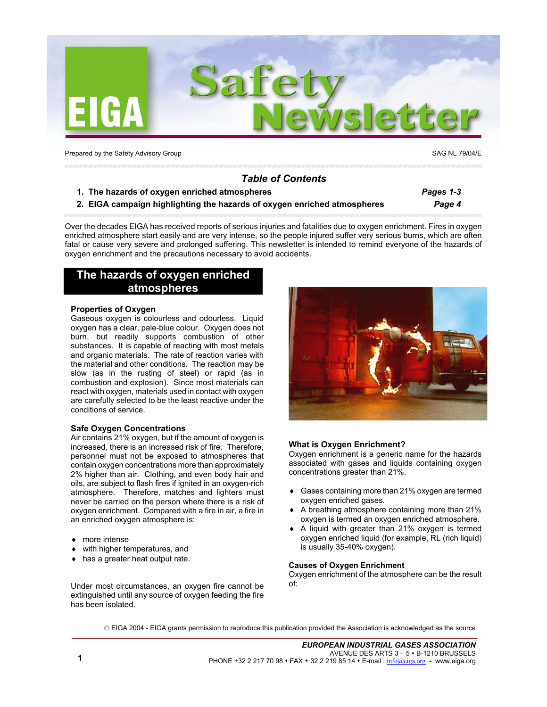

Prepared by the Safety Advisory Group SAG NL 79/04/E

# *Table of Contents*

- **1. The hazards of oxygen enriched atmospheres** *Pages 1-3*
- **2. EIGA campaign highlighting the hazards of oxygen enriched atmospheres** *Page 4*

Over the decades EIGA has received reports of serious injuries and fatalities due to oxygen enrichment. Fires in oxygen enriched atmosphere start easily and are very intense, so the people injured suffer very serious burns, which are often fatal or cause very severe and prolonged suffering. This newsletter is intended to remind everyone of the hazards of oxygen enrichment and the precautions necessary to avoid accidents.

# **The hazards of oxygen enriched atmospheres**

## **Properties of Oxygen**

Gaseous oxygen is colourless and odourless. Liquid oxygen has a clear, pale-blue colour. Oxygen does not burn, but readily supports combustion of other substances. It is capable of reacting with most metals and organic materials. The rate of reaction varies with the material and other conditions. The reaction may be slow (as in the rusting of steel) or rapid (as in combustion and explosion). Since most materials can react with oxygen, materials used in contact with oxygen are carefully selected to be the least reactive under the conditions of service.

### **Safe Oxygen Concentrations**

Air contains 21% oxygen, but if the amount of oxygen is increased, there is an increased risk of fire. Therefore, personnel must not be exposed to atmospheres that contain oxygen concentrations more than approximately 2% higher than air. Clothing, and even body hair and oils, are subject to flash fires if ignited in an oxygen-rich atmosphere. Therefore, matches and lighters must never be carried on the person where there is a risk of oxygen enrichment. Compared with a fire in air, a fire in an enriched oxygen atmosphere is:

- ♦ more intense
- with higher temperatures, and
- ♦ has a greater heat output rate.

Under most circumstances, an oxygen fire cannot be extinguished until any source of oxygen feeding the fire has been isolated.



# **What is Oxygen Enrichment?**

Oxygen enrichment is a generic name for the hazards associated with gases and liquids containing oxygen concentrations greater than 21%.

- Gases containing more than 21% oxygen are termed oxygen enriched gases.
- ♦ A breathing atmosphere containing more than 21% oxygen is termed an oxygen enriched atmosphere.
- A liquid with greater than 21% oxygen is termed oxygen enriched liquid (for example, RL (rich liquid) is usually 35-40% oxygen).

### **Causes of Oxygen Enrichment**

Oxygen enrichment of the atmosphere can be the result of:

EIGA 2004 - EIGA grants permission to reproduce this publication provided the Association is acknowledged as the source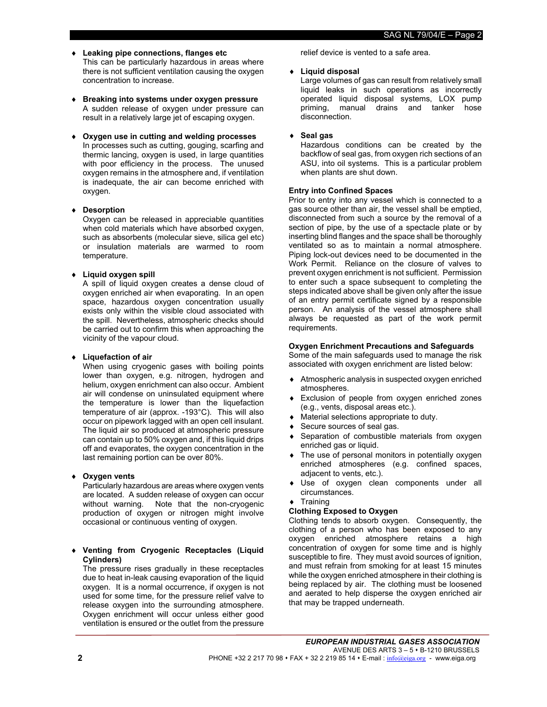- ♦ **Leaking pipe connections, flanges etc**  This can be particularly hazardous in areas where there is not sufficient ventilation causing the oxygen concentration to increase.
- ♦ **Breaking into systems under oxygen pressure**  A sudden release of oxygen under pressure can result in a relatively large jet of escaping oxygen.
- ♦ **Oxygen use in cutting and welding processes**  In processes such as cutting, gouging, scarfing and thermic lancing, oxygen is used, in large quantities with poor efficiency in the process. The unused oxygen remains in the atmosphere and, if ventilation is inadequate, the air can become enriched with oxygen.

# ♦ **Desorption**

Oxygen can be released in appreciable quantities when cold materials which have absorbed oxygen, such as absorbents (molecular sieve, silica gel etc) or insulation materials are warmed to room temperature.

# ♦ **Liquid oxygen spill**

A spill of liquid oxygen creates a dense cloud of oxygen enriched air when evaporating. In an open space, hazardous oxygen concentration usually exists only within the visible cloud associated with the spill. Nevertheless, atmospheric checks should be carried out to confirm this when approaching the vicinity of the vapour cloud.

# ♦ **Liquefaction of air**

When using cryogenic gases with boiling points lower than oxygen, e.g. nitrogen, hydrogen and helium, oxygen enrichment can also occur. Ambient air will condense on uninsulated equipment where the temperature is lower than the liquefaction temperature of air (approx. -193°C). This will also occur on pipework lagged with an open cell insulant. The liquid air so produced at atmospheric pressure can contain up to 50% oxygen and, if this liquid drips off and evaporates, the oxygen concentration in the last remaining portion can be over 80%.

# **Oxygen vents**

Particularly hazardous are areas where oxygen vents are located. A sudden release of oxygen can occur without warning. Note that the non-cryogenic production of oxygen or nitrogen might involve occasional or continuous venting of oxygen.

# ♦ **Venting from Cryogenic Receptacles (Liquid Cylinders)**

The pressure rises gradually in these receptacles due to heat in-leak causing evaporation of the liquid oxygen. It is a normal occurrence, if oxygen is not used for some time, for the pressure relief valve to release oxygen into the surrounding atmosphere. Oxygen enrichment will occur unless either good ventilation is ensured or the outlet from the pressure

relief device is vented to a safe area.

# ♦ **Liquid disposal**

Large volumes of gas can result from relatively small liquid leaks in such operations as incorrectly operated liquid disposal systems, LOX pump priming, manual drains and tanker hose disconnection.

# ♦ **Seal gas**

Hazardous conditions can be created by the backflow of seal gas, from oxygen rich sections of an ASU, into oil systems. This is a particular problem when plants are shut down.

# **Entry into Confined Spaces**

Prior to entry into any vessel which is connected to a gas source other than air, the vessel shall be emptied, disconnected from such a source by the removal of a section of pipe, by the use of a spectacle plate or by inserting blind flanges and the space shall be thoroughly ventilated so as to maintain a normal atmosphere. Piping lock-out devices need to be documented in the Work Permit. Reliance on the closure of valves to prevent oxygen enrichment is not sufficient. Permission to enter such a space subsequent to completing the steps indicated above shall be given only after the issue of an entry permit certificate signed by a responsible person. An analysis of the vessel atmosphere shall always be requested as part of the work permit requirements.

# **Oxygen Enrichment Precautions and Safeguards**

Some of the main safeguards used to manage the risk associated with oxygen enrichment are listed below:

- Atmospheric analysis in suspected oxygen enriched atmospheres.
- Exclusion of people from oxygen enriched zones (e.g., vents, disposal areas etc.).
- Material selections appropriate to duty.
- Secure sources of seal gas.
- Separation of combustible materials from oxygen enriched gas or liquid.
- ♦ The use of personal monitors in potentially oxygen enriched atmospheres (e.g. confined spaces, adjacent to vents, etc.).
- Use of oxygen clean components under all circumstances.
- ♦ Training

# **Clothing Exposed to Oxygen**

Clothing tends to absorb oxygen. Consequently, the clothing of a person who has been exposed to any oxygen enriched atmosphere retains a high concentration of oxygen for some time and is highly susceptible to fire. They must avoid sources of ignition, and must refrain from smoking for at least 15 minutes while the oxygen enriched atmosphere in their clothing is being replaced by air. The clothing must be loosened and aerated to help disperse the oxygen enriched air that may be trapped underneath.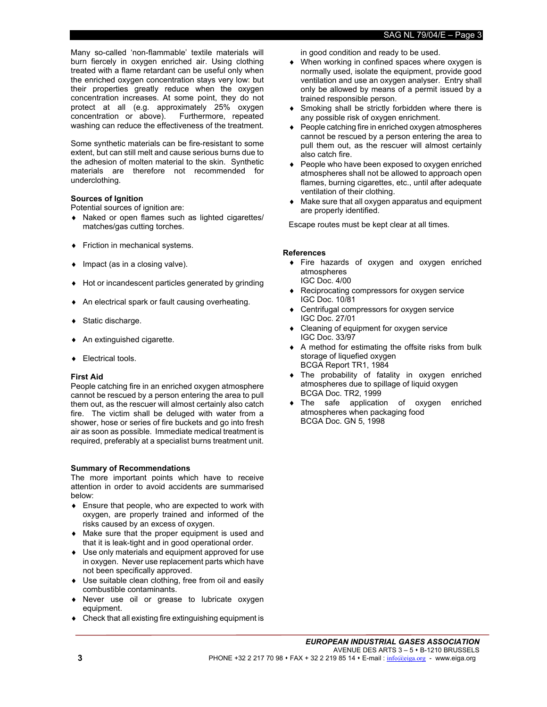Many so-called 'non-flammable' textile materials will burn fiercely in oxygen enriched air. Using clothing treated with a flame retardant can be useful only when the enriched oxygen concentration stays very low: but their properties greatly reduce when the oxygen concentration increases. At some point, they do not protect at all (e.g. approximately 25% oxygen concentration or above). Furthermore, repeated washing can reduce the effectiveness of the treatment.

Some synthetic materials can be fire-resistant to some extent, but can still melt and cause serious burns due to the adhesion of molten material to the skin. Synthetic materials are therefore not recommended for underclothing.

# **Sources of Ignition**

Potential sources of ignition are:

- ♦ Naked or open flames such as lighted cigarettes/ matches/gas cutting torches.
- ♦ Friction in mechanical systems.
- ♦ Impact (as in a closing valve).
- ♦ Hot or incandescent particles generated by grinding
- ♦ An electrical spark or fault causing overheating.
- ♦ Static discharge.
- ♦ An extinguished cigarette.
- ♦ Electrical tools.

### **First Aid**

People catching fire in an enriched oxygen atmosphere cannot be rescued by a person entering the area to pull them out, as the rescuer will almost certainly also catch fire. The victim shall be deluged with water from a shower, hose or series of fire buckets and go into fresh air as soon as possible. Immediate medical treatment is required, preferably at a specialist burns treatment unit.

### **Summary of Recommendations**

The more important points which have to receive attention in order to avoid accidents are summarised below:

- ♦ Ensure that people, who are expected to work with oxygen, are properly trained and informed of the risks caused by an excess of oxygen.
- ♦ Make sure that the proper equipment is used and that it is leak-tight and in good operational order.
- ♦ Use only materials and equipment approved for use in oxygen. Never use replacement parts which have not been specifically approved.
- ♦ Use suitable clean clothing, free from oil and easily combustible contaminants.
- Never use oil or grease to lubricate oxygen equipment.
- ♦ Check that all existing fire extinguishing equipment is

in good condition and ready to be used.

- ♦ When working in confined spaces where oxygen is normally used, isolate the equipment, provide good ventilation and use an oxygen analyser. Entry shall only be allowed by means of a permit issued by a trained responsible person.
- Smoking shall be strictly forbidden where there is any possible risk of oxygen enrichment.
- People catching fire in enriched oxygen atmospheres cannot be rescued by a person entering the area to pull them out, as the rescuer will almost certainly also catch fire.
- ♦ People who have been exposed to oxygen enriched atmospheres shall not be allowed to approach open flames, burning cigarettes, etc., until after adequate ventilation of their clothing.
- ♦ Make sure that all oxygen apparatus and equipment are properly identified.

Escape routes must be kept clear at all times.

### **References**

- ♦ Fire hazards of oxygen and oxygen enriched atmospheres IGC Doc. 4/00
- ♦ Reciprocating compressors for oxygen service IGC Doc. 10/81
- Centrifugal compressors for oxygen service IGC Doc. 27/01
- ♦ Cleaning of equipment for oxygen service IGC Doc. 33/97
- ♦ A method for estimating the offsite risks from bulk storage of liquefied oxygen BCGA Report TR1, 1984
- ♦ The probability of fatality in oxygen enriched atmospheres due to spillage of liquid oxygen BCGA Doc. TR2, 1999
- ♦ The safe application of oxygen enriched atmospheres when packaging food BCGA Doc. GN 5, 1998